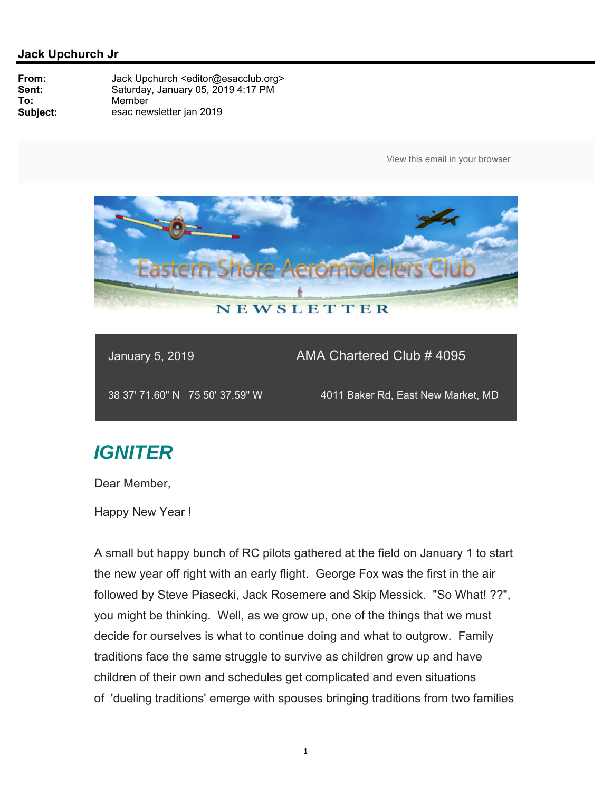

January 5, 2019 AMA Chartered Club # 4095

38 37' 71.60" N 75 50' 37.59" W 4011 Baker Rd, East New Market, MD

# *IGNITER*

Dear Member,

Happy New Year !

A small but happy bunch of RC pilots gathered at the field on January 1 to start the new year off right with an early flight. George Fox was the first in the air followed by Steve Piasecki, Jack Rosemere and Skip Messick. "So What! ??", you might be thinking. Well, as we grow up, one of the things that we must decide for ourselves is what to continue doing and what to outgrow. Family traditions face the same struggle to survive as children grow up and have children of their own and schedules get complicated and even situations of 'dueling traditions' emerge with spouses bringing traditions from two families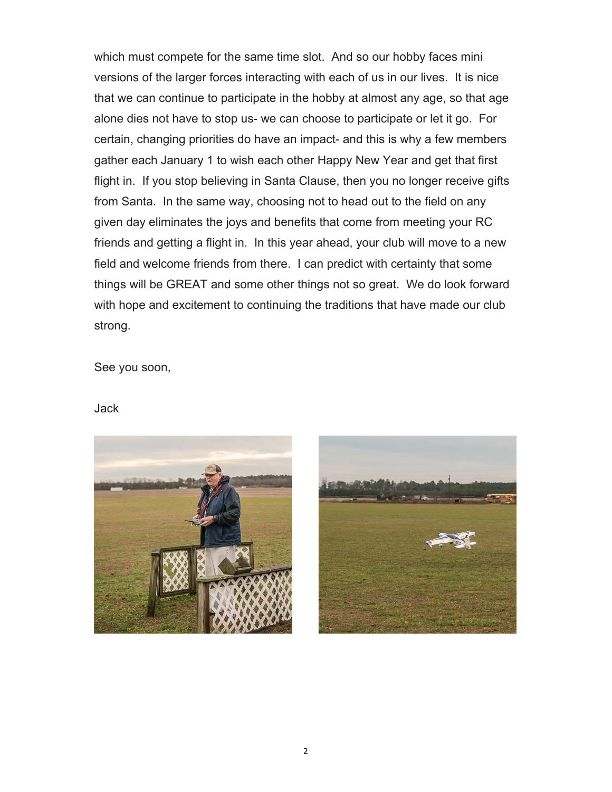which must compete for the same time slot. And so our hobby faces mini versions of the larger forces interacting with each of us in our lives. It is nice that we can continue to participate in the hobby at almost any age, so that age alone dies not have to stop us- we can choose to participate or let it go. For certain, changing priorities do have an impact- and this is why a few members gather each January 1 to wish each other Happy New Year and get that first flight in. If you stop believing in Santa Clause, then you no longer receive gifts from Santa. In the same way, choosing not to head out to the field on any given day eliminates the joys and benefits that come from meeting your RC friends and getting a flight in. In this year ahead, your club will move to a new field and welcome friends from there. I can predict with certainty that some things will be GREAT and some other things not so great. We do look forward with hope and excitement to continuing the traditions that have made our club strong.

See you soon,

#### Jack



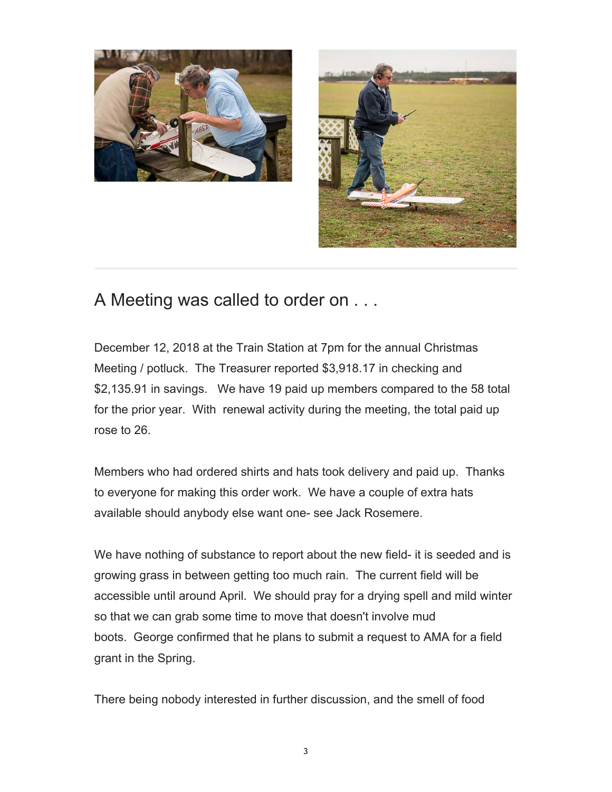



## A Meeting was called to order on . . .

December 12, 2018 at the Train Station at 7pm for the annual Christmas Meeting / potluck. The Treasurer reported \$3,918.17 in checking and \$2,135.91 in savings. We have 19 paid up members compared to the 58 total for the prior year. With renewal activity during the meeting, the total paid up rose to 26.

Members who had ordered shirts and hats took delivery and paid up. Thanks to everyone for making this order work. We have a couple of extra hats available should anybody else want one- see Jack Rosemere.

We have nothing of substance to report about the new field- it is seeded and is growing grass in between getting too much rain. The current field will be accessible until around April. We should pray for a drying spell and mild winter so that we can grab some time to move that doesn't involve mud boots. George confirmed that he plans to submit a request to AMA for a field grant in the Spring.

There being nobody interested in further discussion, and the smell of food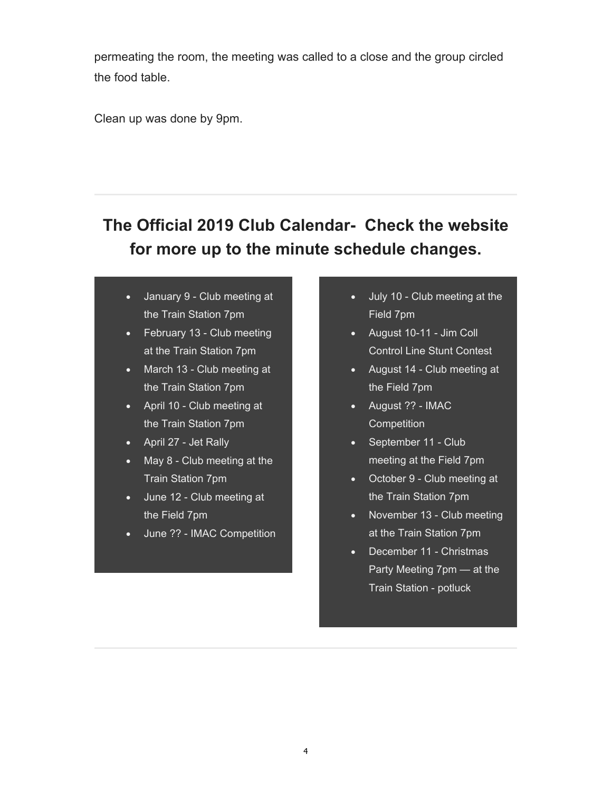permeating the room, the meeting was called to a close and the group circled the food table.

Clean up was done by 9pm.

# **The Official 2019 Club Calendar- Check the website for more up to the minute schedule changes.**

- January 9 Club meeting at the Train Station 7pm
- February 13 Club meeting at the Train Station 7pm
- March 13 Club meeting at the Train Station 7pm
- April 10 Club meeting at the Train Station 7pm
- April 27 Jet Rally
- May 8 Club meeting at the Train Station 7pm
- June 12 Club meeting at the Field 7pm
- June ?? IMAC Competition
- July 10 Club meeting at the Field 7pm
- August 10-11 Jim Coll Control Line Stunt Contest
- August 14 Club meeting at the Field 7pm
- August ?? IMAC **Competition**
- September 11 Club meeting at the Field 7pm
- October 9 Club meeting at the Train Station 7pm
- November 13 Club meeting at the Train Station 7pm
- December 11 Christmas Party Meeting 7pm — at the Train Station - potluck